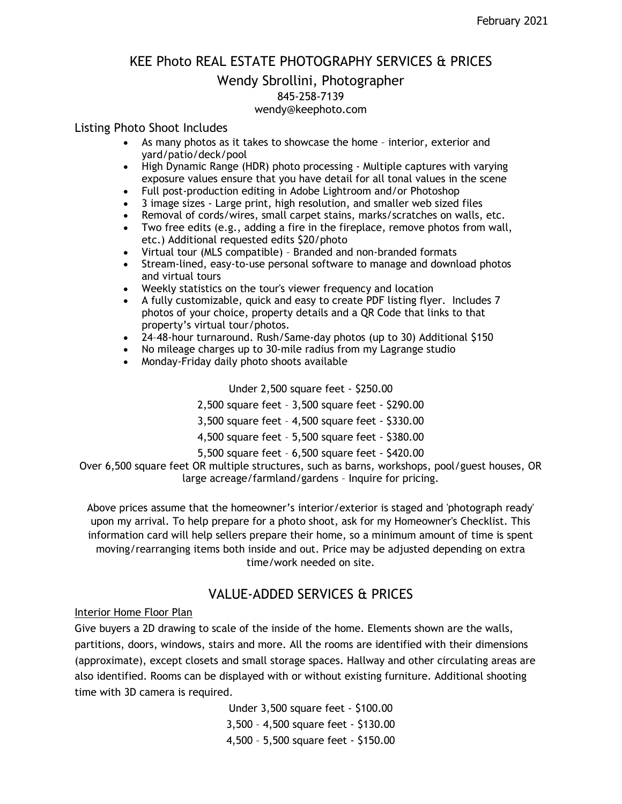## KEE Photo REAL ESTATE PHOTOGRAPHY SERVICES & PRICES

# Wendy Sbrollini, Photographer 845-258-7139

#### wendy@keephoto.com

#### Listing Photo Shoot Includes

- As many photos as it takes to showcase the home interior, exterior and yard/patio/deck/pool
- High Dynamic Range (HDR) photo processing Multiple captures with varying exposure values ensure that you have detail for all tonal values in the scene
- Full post-production editing in Adobe Lightroom and/or Photoshop
- 3 image sizes Large print, high resolution, and smaller web sized files
- Removal of cords/wires, small carpet stains, marks/scratches on walls, etc.
- Two free edits (e.g., adding a fire in the fireplace, remove photos from wall, etc.) Additional requested edits \$20/photo
- Virtual tour (MLS compatible) Branded and non-branded formats
- Stream-lined, easy-to-use personal software to manage and download photos and virtual tours
- Weekly statistics on the tour's viewer frequency and location
- A fully customizable, quick and easy to create PDF listing flyer. Includes 7 photos of your choice, property details and a QR Code that links to that property's virtual tour/photos.
- 24–48-hour turnaround. Rush/Same-day photos (up to 30) Additional \$150
- No mileage charges up to 30-mile radius from my Lagrange studio
- Monday-Friday daily photo shoots available

Under 2,500 square feet - \$250.00

- 2,500 square feet 3,500 square feet \$290.00
- 3,500 square feet 4,500 square feet \$330.00
- 4,500 square feet 5,500 square feet \$380.00
- 5,500 square feet 6,500 square feet \$420.00

Over 6,500 square feet OR multiple structures, such as barns, workshops, pool/guest houses, OR large acreage/farmland/gardens – Inquire for pricing.

Above prices assume that the homeowner's interior/exterior is staged and 'photograph ready' upon my arrival. To help prepare for a photo shoot, ask for my Homeowner's Checklist. This information card will help sellers prepare their home, so a minimum amount of time is spent moving/rearranging items both inside and out. Price may be adjusted depending on extra time/work needed on site.

## VALUE-ADDED SERVICES & PRICES

Interior Home Floor Plan

Give buyers a 2D drawing to scale of the inside of the home. Elements shown are the walls, partitions, doors, windows, stairs and more. All the rooms are identified with their dimensions (approximate), except closets and small storage spaces. Hallway and other circulating areas are also identified. Rooms can be displayed with or without existing furniture. Additional shooting time with 3D camera is required.

> Under 3,500 square feet - \$100.00 3,500 – 4,500 square feet - \$130.00 4,500 – 5,500 square feet - \$150.00